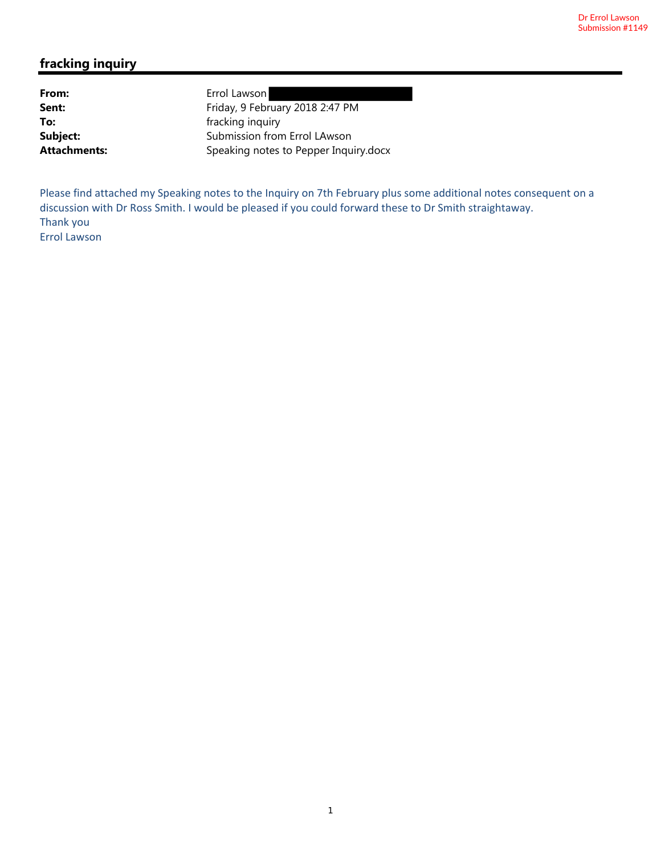#### **fracking inquiry**

From: Errol Lawson Sent: Friday, 9 February 2018 2:47 PM **To: Fracking inquiry fracking inquiry Subject:** Submission from Errol LAwson Attachments: Speaking notes to Pepper Inquiry.docx

Please find attached my Speaking notes to the Inquiry on 7th February plus some additional notes consequent on a discussion with Dr Ross Smith. I would be pleased if you could forward these to Dr Smith straightaway. Thank you Errol Lawson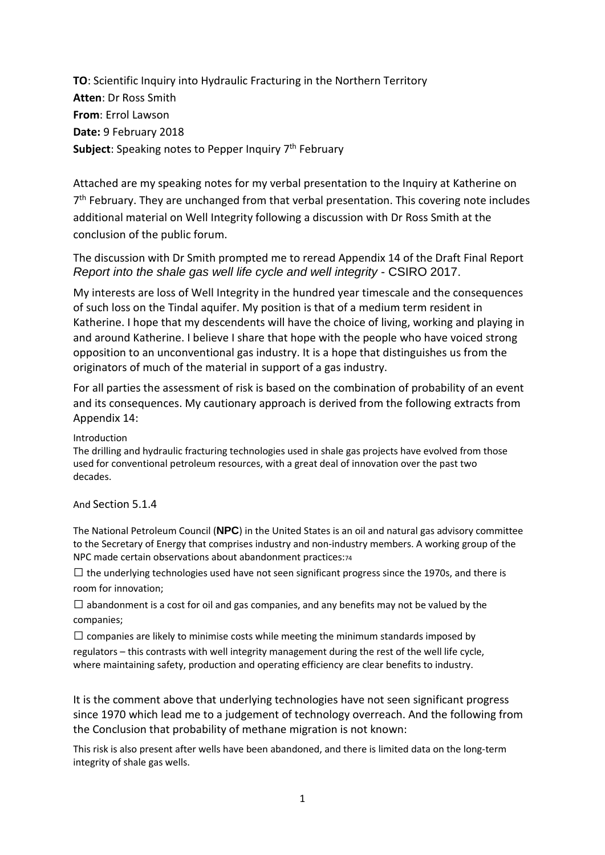**TO**: Scientific Inquiry into Hydraulic Fracturing in the Northern Territory **Atten**: Dr Ross Smith **From**: Errol Lawson **Date:** 9 February 2018 **Subject**: Speaking notes to Pepper Inquiry 7<sup>th</sup> February

Attached are my speaking notes for my verbal presentation to the Inquiry at Katherine on 7<sup>th</sup> February. They are unchanged from that verbal presentation. This covering note includes additional material on Well Integrity following a discussion with Dr Ross Smith at the conclusion of the public forum.

The discussion with Dr Smith prompted me to reread Appendix 14 of the Draft Final Report *Report into the shale gas well life cycle and well integrity* - CSIRO 2017.

My interests are loss of Well Integrity in the hundred year timescale and the consequences of such loss on the Tindal aquifer. My position is that of a medium term resident in Katherine. I hope that my descendents will have the choice of living, working and playing in and around Katherine. I believe I share that hope with the people who have voiced strong opposition to an unconventional gas industry. It is a hope that distinguishes us from the originators of much of the material in support of a gas industry.

For all parties the assessment of risk is based on the combination of probability of an event and its consequences. My cautionary approach is derived from the following extracts from Appendix 14:

Introduction

The drilling and hydraulic fracturing technologies used in shale gas projects have evolved from those used for conventional petroleum resources, with a great deal of innovation over the past two decades.

And Section 5.1.4

The National Petroleum Council (**NPC**) in the United States is an oil and natural gas advisory committee to the Secretary of Energy that comprises industry and non-industry members. A working group of the NPC made certain observations about abandonment practices:74

 $\Box$  the underlying technologies used have not seen significant progress since the 1970s, and there is room for innovation;

 $\Box$  abandonment is a cost for oil and gas companies, and any benefits may not be valued by the companies;

 $\square$  companies are likely to minimise costs while meeting the minimum standards imposed by regulators – this contrasts with well integrity management during the rest of the well life cycle, where maintaining safety, production and operating efficiency are clear benefits to industry.

It is the comment above that underlying technologies have not seen significant progress since 1970 which lead me to a judgement of technology overreach. And the following from the Conclusion that probability of methane migration is not known:

This risk is also present after wells have been abandoned, and there is limited data on the long‐term integrity of shale gas wells.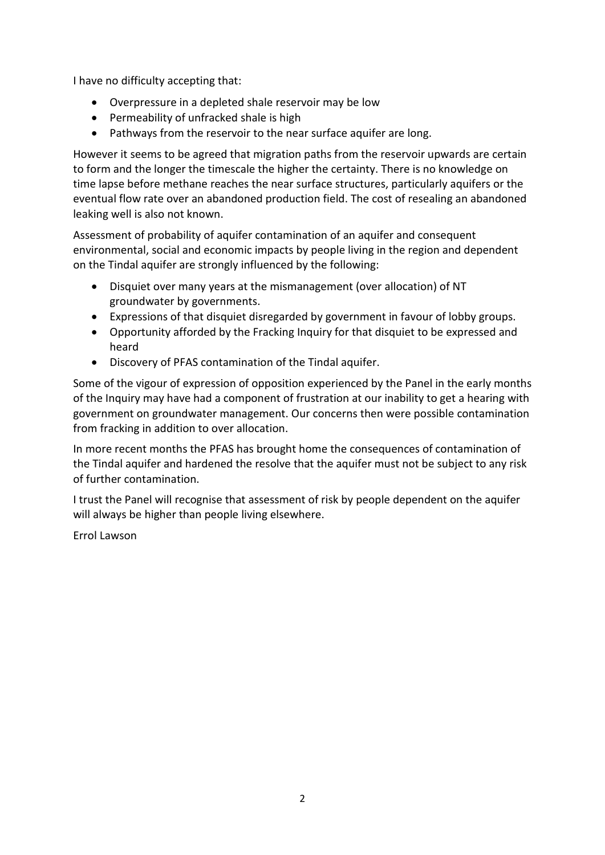I have no difficulty accepting that:

- Overpressure in a depleted shale reservoir may be low
- Permeability of unfracked shale is high
- Pathways from the reservoir to the near surface aquifer are long.

However it seems to be agreed that migration paths from the reservoir upwards are certain to form and the longer the timescale the higher the certainty. There is no knowledge on time lapse before methane reaches the near surface structures, particularly aquifers or the eventual flow rate over an abandoned production field. The cost of resealing an abandoned leaking well is also not known.

Assessment of probability of aquifer contamination of an aquifer and consequent environmental, social and economic impacts by people living in the region and dependent on the Tindal aquifer are strongly influenced by the following:

- Disquiet over many years at the mismanagement (over allocation) of NT groundwater by governments.
- Expressions of that disquiet disregarded by government in favour of lobby groups.
- Opportunity afforded by the Fracking Inquiry for that disquiet to be expressed and heard
- Discovery of PFAS contamination of the Tindal aquifer.

Some of the vigour of expression of opposition experienced by the Panel in the early months of the Inquiry may have had a component of frustration at our inability to get a hearing with government on groundwater management. Our concerns then were possible contamination from fracking in addition to over allocation.

In more recent months the PFAS has brought home the consequences of contamination of the Tindal aquifer and hardened the resolve that the aquifer must not be subject to any risk of further contamination.

I trust the Panel will recognise that assessment of risk by people dependent on the aquifer will always be higher than people living elsewhere.

Errol Lawson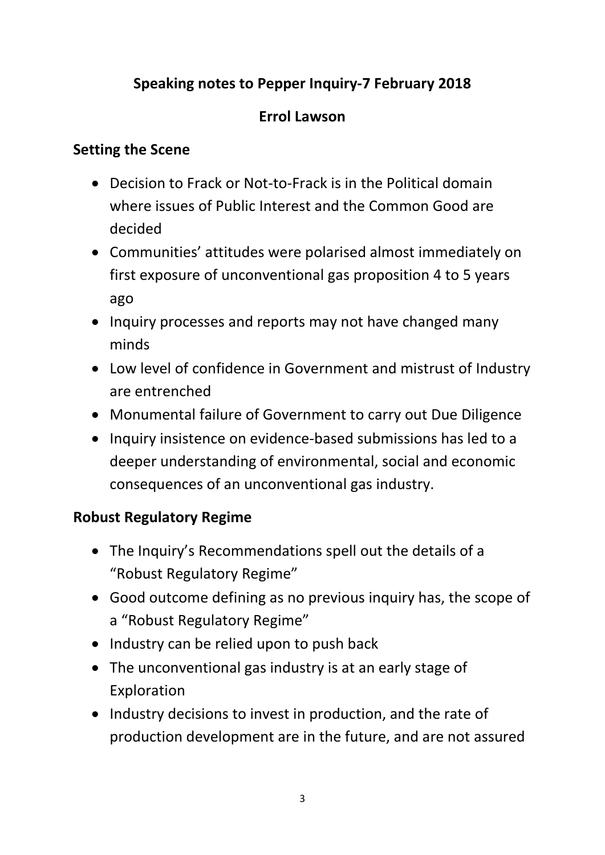# **Speaking notes to Pepper Inquiry-7 February 2018**

# **Errol Lawson**

### **Setting the Scene**

- Decision to Frack or Not-to-Frack is in the Political domain where issues of Public Interest and the Common Good are decided
- Communities' attitudes were polarised almost immediately on first exposure of unconventional gas proposition 4 to 5 years ago
- Inquiry processes and reports may not have changed many minds
- Low level of confidence in Government and mistrust of Industry are entrenched
- Monumental failure of Government to carry out Due Diligence
- Inquiry insistence on evidence-based submissions has led to a deeper understanding of environmental, social and economic consequences of an unconventional gas industry.

#### **Robust Regulatory Regime**

- The Inquiry's Recommendations spell out the details of a "Robust Regulatory Regime"
- Good outcome defining as no previous inquiry has, the scope of a "Robust Regulatory Regime"
- Industry can be relied upon to push back
- The unconventional gas industry is at an early stage of Exploration
- Industry decisions to invest in production, and the rate of production development are in the future, and are not assured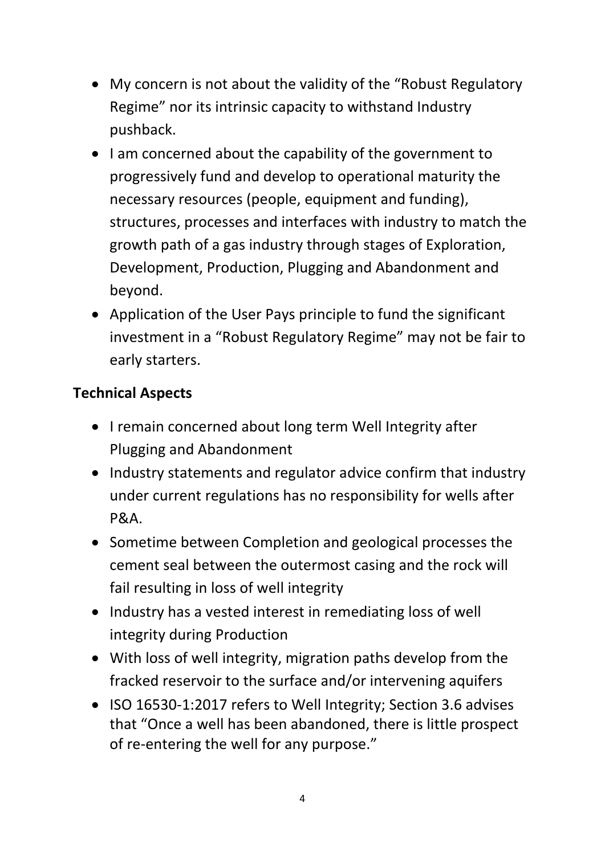- My concern is not about the validity of the "Robust Regulatory Regime" nor its intrinsic capacity to withstand Industry pushback.
- I am concerned about the capability of the government to progressively fund and develop to operational maturity the necessary resources (people, equipment and funding), structures, processes and interfaces with industry to match the growth path of a gas industry through stages of Exploration, Development, Production, Plugging and Abandonment and beyond.
- Application of the User Pays principle to fund the significant investment in a "Robust Regulatory Regime" may not be fair to early starters.

# **Technical Aspects**

- I remain concerned about long term Well Integrity after Plugging and Abandonment
- Industry statements and regulator advice confirm that industry under current regulations has no responsibility for wells after P&A.
- Sometime between Completion and geological processes the cement seal between the outermost casing and the rock will fail resulting in loss of well integrity
- Industry has a vested interest in remediating loss of well integrity during Production
- With loss of well integrity, migration paths develop from the fracked reservoir to the surface and/or intervening aquifers
- ISO 16530-1:2017 refers to Well Integrity; Section 3.6 advises that "Once a well has been abandoned, there is little prospect of re-entering the well for any purpose."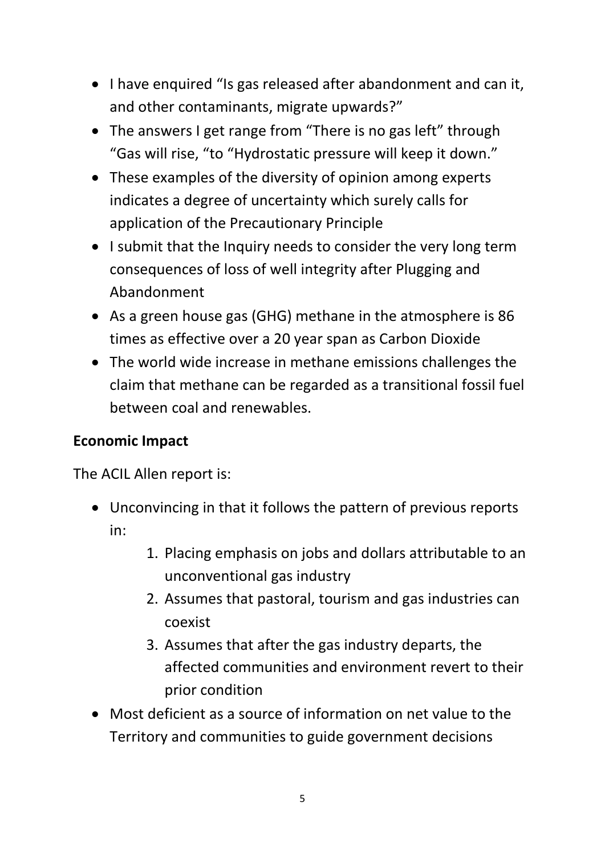- I have enquired "Is gas released after abandonment and can it, and other contaminants, migrate upwards?"
- The answers I get range from "There is no gas left" through "Gas will rise, "to "Hydrostatic pressure will keep it down."
- These examples of the diversity of opinion among experts indicates a degree of uncertainty which surely calls for application of the Precautionary Principle
- I submit that the Inquiry needs to consider the very long term consequences of loss of well integrity after Plugging and Abandonment
- As a green house gas (GHG) methane in the atmosphere is 86 times as effective over a 20 year span as Carbon Dioxide
- The world wide increase in methane emissions challenges the claim that methane can be regarded as a transitional fossil fuel between coal and renewables.

# **Economic Impact**

The ACIL Allen report is:

- Unconvincing in that it follows the pattern of previous reports in:
	- 1. Placing emphasis on jobs and dollars attributable to an unconventional gas industry
	- 2. Assumes that pastoral, tourism and gas industries can coexist
	- 3. Assumes that after the gas industry departs, the affected communities and environment revert to their prior condition
- Most deficient as a source of information on net value to the Territory and communities to guide government decisions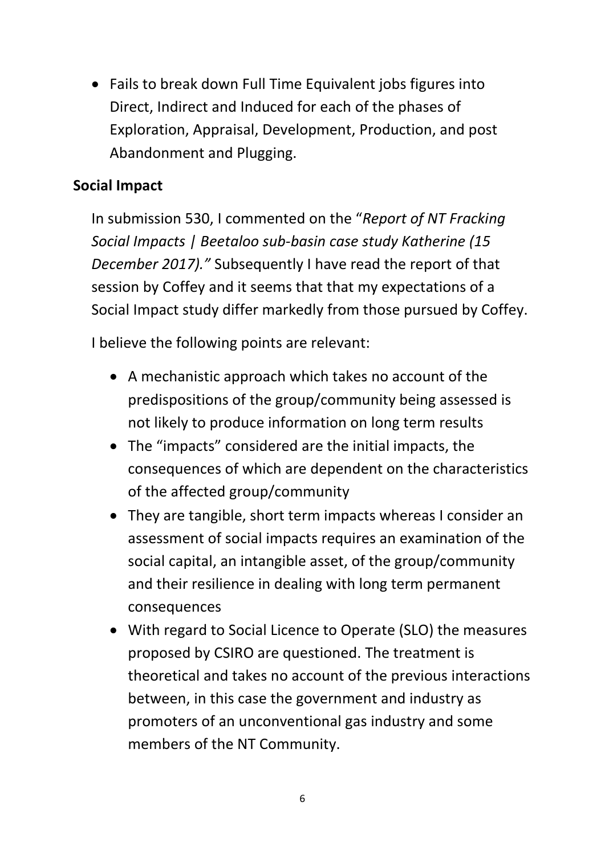• Fails to break down Full Time Equivalent jobs figures into Direct, Indirect and Induced for each of the phases of Exploration, Appraisal, Development, Production, and post Abandonment and Plugging.

## **Social Impact**

In submission 530, I commented on the "*Report of NT Fracking Social Impacts | Beetaloo sub-basin case study Katherine (15 December 2017)."* Subsequently I have read the report of that session by Coffey and it seems that that my expectations of a Social Impact study differ markedly from those pursued by Coffey.

I believe the following points are relevant:

- A mechanistic approach which takes no account of the predispositions of the group/community being assessed is not likely to produce information on long term results
- The "impacts" considered are the initial impacts, the consequences of which are dependent on the characteristics of the affected group/community
- They are tangible, short term impacts whereas I consider an assessment of social impacts requires an examination of the social capital, an intangible asset, of the group/community and their resilience in dealing with long term permanent consequences
- With regard to Social Licence to Operate (SLO) the measures proposed by CSIRO are questioned. The treatment is theoretical and takes no account of the previous interactions between, in this case the government and industry as promoters of an unconventional gas industry and some members of the NT Community.